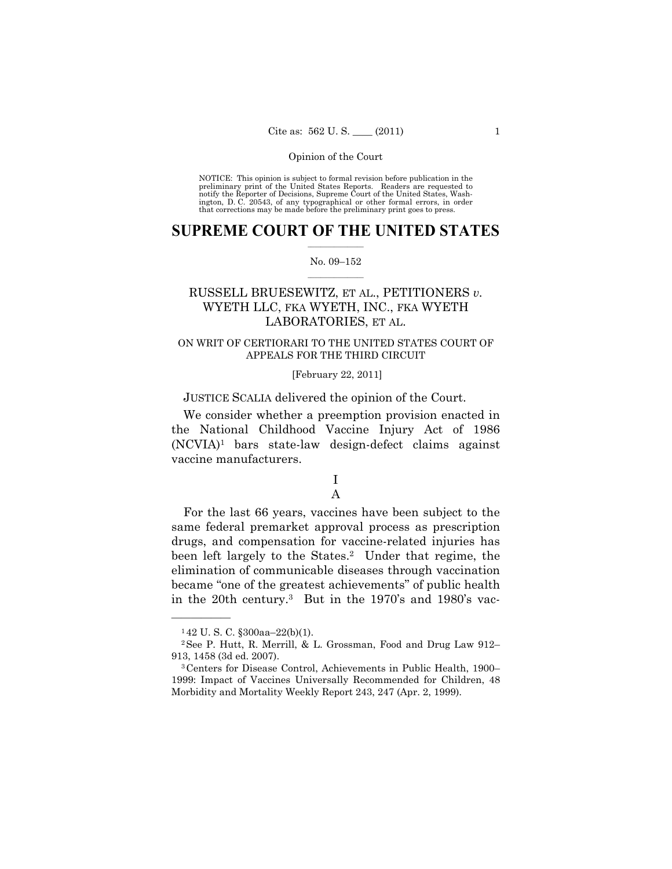NOTICE: This opinion is subject to formal revision before publication in the preliminary print of the United States Reports. Readers are requested to notify the Reporter of Decisions, Supreme Court of the United States, Washington, D. C. 20543, of any typographical or other formal errors, in order that corrections may be made before the preliminary print goes to press.

# **SUPREME COURT OF THE UNITED STATES**  $\frac{1}{2}$  ,  $\frac{1}{2}$  ,  $\frac{1}{2}$  ,  $\frac{1}{2}$  ,  $\frac{1}{2}$  ,  $\frac{1}{2}$  ,  $\frac{1}{2}$

### No. 09–152  $\frac{1}{2}$  ,  $\frac{1}{2}$  ,  $\frac{1}{2}$  ,  $\frac{1}{2}$  ,  $\frac{1}{2}$  ,  $\frac{1}{2}$

# RUSSELL BRUESEWITZ, ET AL., PETITIONERS *v.*  WYETH LLC, FKA WYETH, INC., FKA WYETH LABORATORIES, ET AL.

# ON WRIT OF CERTIORARI TO THE UNITED STATES COURT OF APPEALS FOR THE THIRD CIRCUIT

# [February 22, 2011]

JUSTICE SCALIA delivered the opinion of the Court.

 We consider whether a preemption provision enacted in the National Childhood Vaccine Injury Act of 1986  $(NCVIA)^1$  bars state-law design-defect claims against vaccine manufacturers.

# I A

 For the last 66 years, vaccines have been subject to the same federal premarket approval process as prescription drugs, and compensation for vaccine-related injuries has been left largely to the States.<sup>2</sup> Under that regime, the elimination of communicable diseases through vaccination became "one of the greatest achievements" of public health in the 20th century.3 But in the 1970's and 1980's vac-

<sup>1</sup> 42 U. S. C. §300aa–22(b)(1).

<sup>2</sup>See P. Hutt, R. Merrill, & L. Grossman, Food and Drug Law 912–

<sup>913, 1458 (3</sup>d ed. 2007). 3Centers for Disease Control, Achievements in Public Health, 1900– 1999: Impact of Vaccines Universally Recommended for Children, 48 Morbidity and Mortality Weekly Report 243, 247 (Apr. 2, 1999).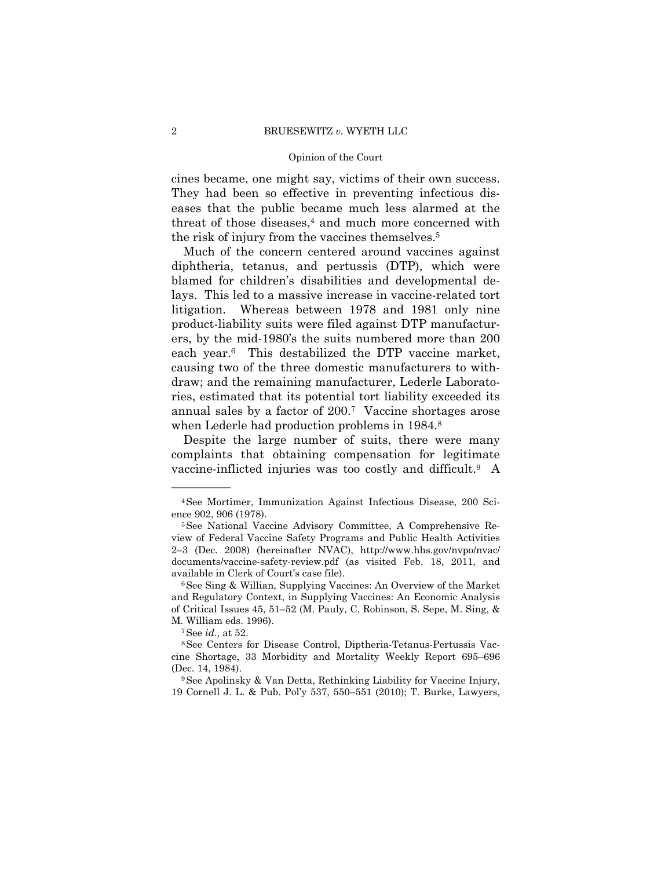cines became, one might say, victims of their own success. They had been so effective in preventing infectious diseases that the public became much less alarmed at the threat of those diseases,<sup>4</sup> and much more concerned with the risk of injury from the vaccines themselves.5

 Much of the concern centered around vaccines against diphtheria, tetanus, and pertussis (DTP), which were blamed for children's disabilities and developmental delays. This led to a massive increase in vaccine-related tort litigation. Whereas between 1978 and 1981 only nine product-liability suits were filed against DTP manufacturers, by the mid-1980's the suits numbered more than 200 each year.<sup>6</sup> This destabilized the DTP vaccine market, causing two of the three domestic manufacturers to withdraw; and the remaining manufacturer, Lederle Laboratories, estimated that its potential tort liability exceeded its annual sales by a factor of 200.7 Vaccine shortages arose when Lederle had production problems in 1984.<sup>8</sup>

 Despite the large number of suits, there were many complaints that obtaining compensation for legitimate vaccine-inflicted injuries was too costly and difficult.9 A

<sup>4</sup>See Mortimer, Immunization Against Infectious Disease, 200 Science 902, 906 (1978).<br><sup>5</sup>See National Vaccine Advisory Committee, A Comprehensive Re-

view of Federal Vaccine Safety Programs and Public Health Activities 2–3 (Dec. 2008) (hereinafter NVAC), http://www.hhs.gov/nvpo/nvac/ documents/vaccine-safety-review.pdf (as visited Feb. 18, 2011, and available in Clerk of Court's case file).<br><sup>6</sup>See Sing & Willian, Supplying Vaccines: An Overview of the Market

and Regulatory Context, in Supplying Vaccines: An Economic Analysis of Critical Issues 45, 51–52 (M. Pauly, C. Robinson, S. Sepe, M. Sing, &

M. William eds. 1996).<br><sup>7</sup>See *id.*, at 52.<br><sup>8</sup>See Centers for Disease Control, Diptheria-Tetanus-Pertussis Vaccine Shortage, 33 Morbidity and Mortality Weekly Report 695–696 (Dec. 14, 1984).  $9$ See Apolinsky & Van Detta, Rethinking Liability for Vaccine Injury,

<sup>19</sup> Cornell J. L. & Pub. Pol'y 537, 550–551 (2010); T. Burke, Lawyers,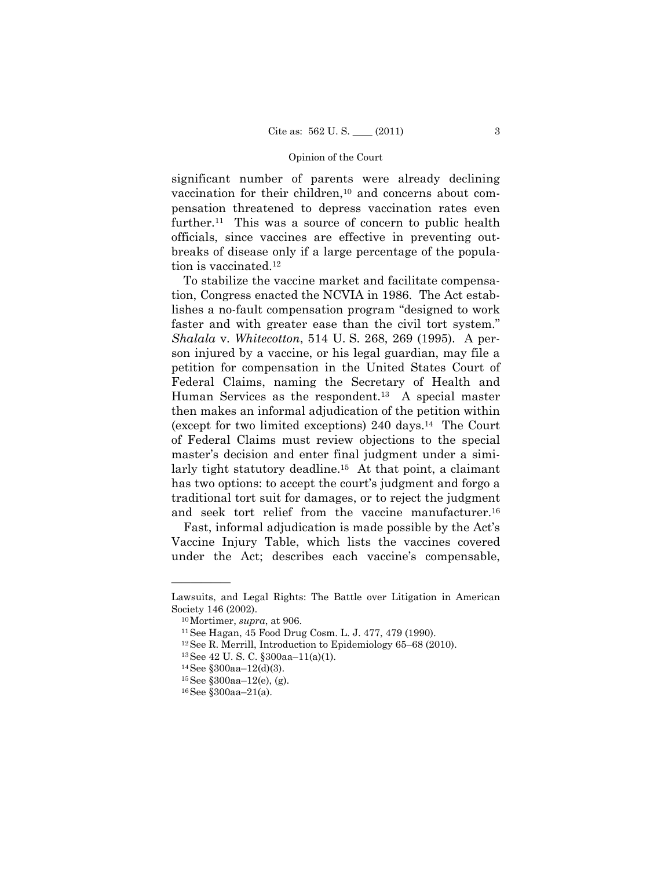significant number of parents were already declining vaccination for their children,<sup>10</sup> and concerns about compensation threatened to depress vaccination rates even further.<sup>11</sup> This was a source of concern to public health officials, since vaccines are effective in preventing outbreaks of disease only if a large percentage of the population is vaccinated.<sup>12</sup>

 To stabilize the vaccine market and facilitate compensation, Congress enacted the NCVIA in 1986. The Act establishes a no-fault compensation program "designed to work faster and with greater ease than the civil tort system." *Shalala* v. *Whitecotton*, 514 U. S. 268, 269 (1995). A person injured by a vaccine, or his legal guardian, may file a petition for compensation in the United States Court of Federal Claims, naming the Secretary of Health and Human Services as the respondent.13 A special master then makes an informal adjudication of the petition within (except for two limited exceptions) 240 days.14 The Court of Federal Claims must review objections to the special master's decision and enter final judgment under a similarly tight statutory deadline.15 At that point, a claimant has two options: to accept the court's judgment and forgo a traditional tort suit for damages, or to reject the judgment and seek tort relief from the vaccine manufacturer.<sup>16</sup>

 Fast, informal adjudication is made possible by the Act's Vaccine Injury Table, which lists the vaccines covered under the Act; describes each vaccine's compensable,

Lawsuits, and Legal Rights: The Battle over Litigation in American Society 146 (2002).<br><sup>10</sup>Mortimer, *supra*, at 906.<br><sup>11</sup>See Hagan, 45 Food Drug Cosm. L. J. 477, 479 (1990).

<sup>&</sup>lt;sup>12</sup>See R. Merrill, Introduction to Epidemiology 65–68 (2010).<br><sup>13</sup>See 42 U. S. C. §300aa–11(a)(1).

 $14$  See §300aa-12(d)(3).

 $15$ See §300aa– $12(e)$ , (g).

<sup>16</sup>See §300aa–21(a).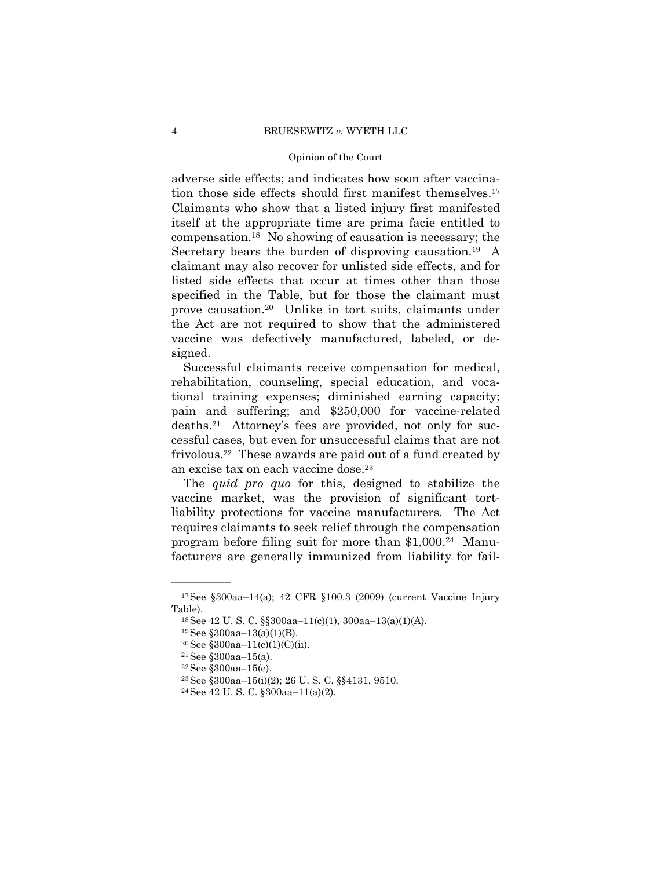adverse side effects; and indicates how soon after vaccination those side effects should first manifest themselves.17 Claimants who show that a listed injury first manifested itself at the appropriate time are prima facie entitled to compensation.18 No showing of causation is necessary; the Secretary bears the burden of disproving causation.<sup>19</sup> A claimant may also recover for unlisted side effects, and for listed side effects that occur at times other than those specified in the Table, but for those the claimant must prove causation.20 Unlike in tort suits, claimants under the Act are not required to show that the administered vaccine was defectively manufactured, labeled, or designed.

 Successful claimants receive compensation for medical, rehabilitation, counseling, special education, and vocational training expenses; diminished earning capacity; pain and suffering; and \$250,000 for vaccine-related deaths.21 Attorney's fees are provided, not only for successful cases, but even for unsuccessful claims that are not frivolous.22 These awards are paid out of a fund created by an excise tax on each vaccine dose.23

 The *quid pro quo* for this, designed to stabilize the vaccine market, was the provision of significant tortliability protections for vaccine manufacturers. The Act requires claimants to seek relief through the compensation program before filing suit for more than  $$1,000.<sup>24</sup>$  Manufacturers are generally immunized from liability for fail-

<sup>17</sup>See §300aa–14(a); 42 CFR §100.3 (2009) (current Vaccine Injury Table).<br><sup>18</sup>See 42 U.S.C. §§300aa–11(c)(1), 300aa–13(a)(1)(A).

 $19$ See §300aa-13(a)(1)(B).

<sup>20</sup>See §300aa–11(c)(1)(C)(ii).

<sup>21</sup>See §300aa–15(a).

<sup>22</sup>See §300aa–15(e).

<sup>23</sup>See §300aa–15(i)(2); 26 U. S. C. §§4131, 9510.

<sup>24</sup>See 42 U. S. C. §300aa–11(a)(2).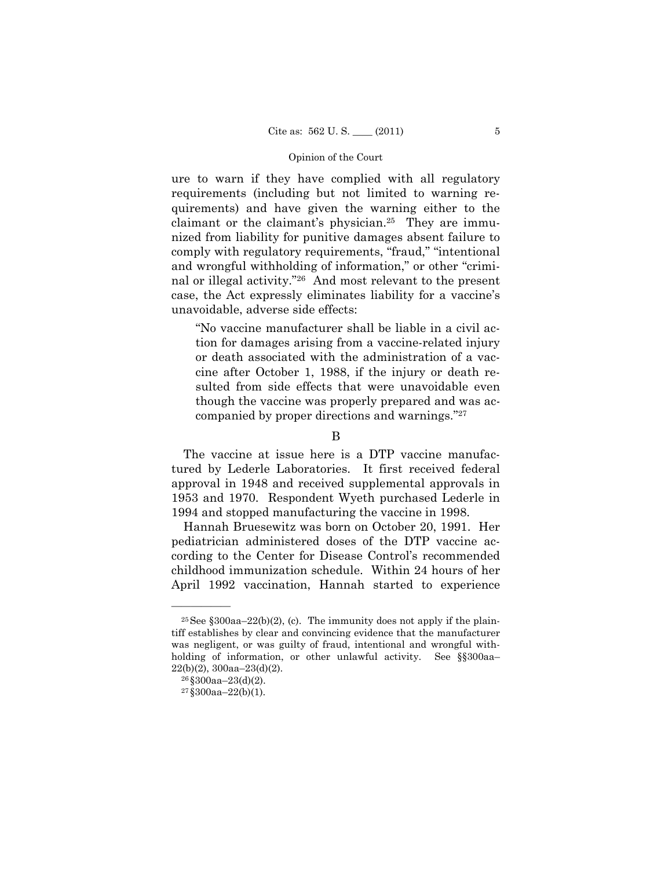ure to warn if they have complied with all regulatory requirements (including but not limited to warning requirements) and have given the warning either to the claimant or the claimant's physician.25 They are immunized from liability for punitive damages absent failure to comply with regulatory requirements, "fraud," "intentional and wrongful withholding of information," or other "criminal or illegal activity."26 And most relevant to the present case, the Act expressly eliminates liability for a vaccine's unavoidable, adverse side effects:

"No vaccine manufacturer shall be liable in a civil action for damages arising from a vaccine-related injury or death associated with the administration of a vaccine after October 1, 1988, if the injury or death resulted from side effects that were unavoidable even though the vaccine was properly prepared and was accompanied by proper directions and warnings."27

 The vaccine at issue here is a DTP vaccine manufactured by Lederle Laboratories. It first received federal approval in 1948 and received supplemental approvals in 1953 and 1970. Respondent Wyeth purchased Lederle in 1994 and stopped manufacturing the vaccine in 1998.

 Hannah Bruesewitz was born on October 20, 1991. Her pediatrician administered doses of the DTP vaccine according to the Center for Disease Control's recommended childhood immunization schedule. Within 24 hours of her April 1992 vaccination, Hannah started to experience

B

 $25$ See §300aa–22(b)(2), (c). The immunity does not apply if the plaintiff establishes by clear and convincing evidence that the manufacturer was negligent, or was guilty of fraud, intentional and wrongful withholding of information, or other unlawful activity. See §§300aa–  $22(b)(2)$ , 300aa– $23(d)(2)$ .<br><sup>26</sup>§300aa– $23(d)(2)$ .

 $27\$ \$300aa-22(b)(1).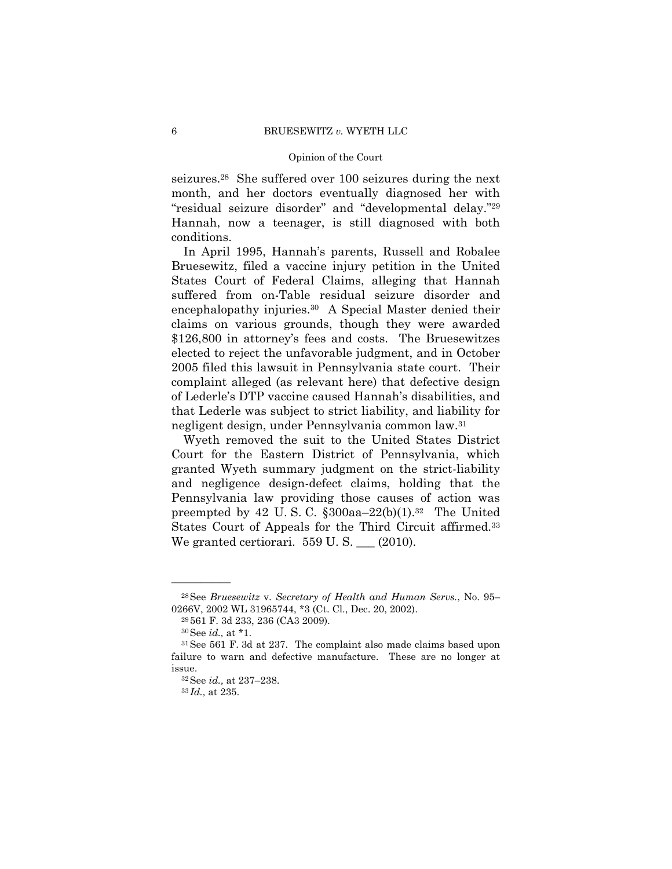seizures.28 She suffered over 100 seizures during the next month, and her doctors eventually diagnosed her with "residual seizure disorder" and "developmental delay."29 Hannah, now a teenager, is still diagnosed with both conditions.

 In April 1995, Hannah's parents, Russell and Robalee Bruesewitz, filed a vaccine injury petition in the United States Court of Federal Claims, alleging that Hannah suffered from on-Table residual seizure disorder and encephalopathy injuries.<sup>30</sup> A Special Master denied their claims on various grounds, though they were awarded \$126,800 in attorney's fees and costs. The Bruesewitzes elected to reject the unfavorable judgment, and in October 2005 filed this lawsuit in Pennsylvania state court. Their complaint alleged (as relevant here) that defective design of Lederle's DTP vaccine caused Hannah's disabilities, and that Lederle was subject to strict liability, and liability for negligent design, under Pennsylvania common law.31

Wyeth removed the suit to the United States District Court for the Eastern District of Pennsylvania, which granted Wyeth summary judgment on the strict-liability and negligence design-defect claims, holding that the Pennsylvania law providing those causes of action was preempted by 42 U.S.C.  $\S 300$ aa–22(b)(1).<sup>32</sup> The United States Court of Appeals for the Third Circuit affirmed.33 We granted certiorari.  $559$  U.S.  $\_\_$  (2010).

<sup>28</sup>See *Bruesewitz* v. *Secretary of Health and Human Servs.*, No. 95– 0266V, 2002 WL 31965744, \*3 (Ct. Cl., Dec. 20, 2002).<br><sup>29</sup> 561 F. 3d 233, 236 (CA3 2009).

<sup>&</sup>lt;sup>30</sup> See *id.*, at \*1.<br><sup>31</sup> See 561 F. 3d at 237. The complaint also made claims based upon failure to warn and defective manufacture. These are no longer at issue.

<sup>32</sup>See *id.,* at 237–238. 33 *Id.,* at 235.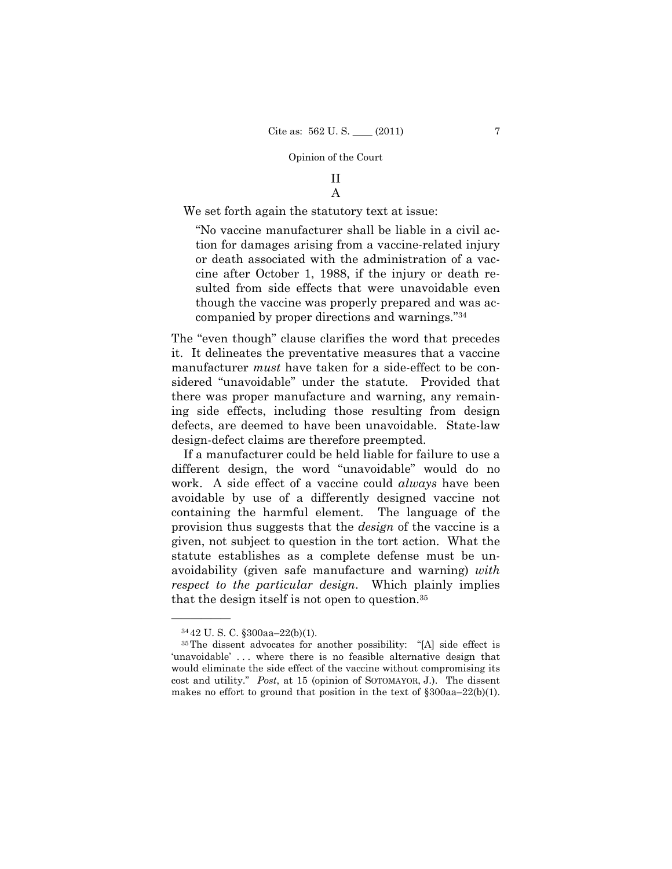# II A

We set forth again the statutory text at issue:

"No vaccine manufacturer shall be liable in a civil action for damages arising from a vaccine-related injury or death associated with the administration of a vaccine after October 1, 1988, if the injury or death resulted from side effects that were unavoidable even though the vaccine was properly prepared and was accompanied by proper directions and warnings."34

The "even though" clause clarifies the word that precedes it. It delineates the preventative measures that a vaccine manufacturer *must* have taken for a side-effect to be considered "unavoidable" under the statute. Provided that there was proper manufacture and warning, any remaining side effects, including those resulting from design defects, are deemed to have been unavoidable. State-law design-defect claims are therefore preempted.

 If a manufacturer could be held liable for failure to use a different design, the word "unavoidable" would do no work. A side effect of a vaccine could *always* have been avoidable by use of a differently designed vaccine not containing the harmful element. The language of the provision thus suggests that the *design* of the vaccine is a given, not subject to question in the tort action. What the statute establishes as a complete defense must be unavoidability (given safe manufacture and warning) *with respect to the particular design*. Which plainly implies that the design itself is not open to question.35

<sup>34</sup> 42 U. S. C. §300aa–22(b)(1).

<sup>35</sup>The dissent advocates for another possibility: "[A] side effect is 'unavoidable' ... where there is no feasible alternative design that would eliminate the side effect of the vaccine without compromising its cost and utility." *Post*, at 15 (opinion of SOTOMAYOR, J.). The dissent makes no effort to ground that position in the text of  $\delta$ 300aa–22(b)(1).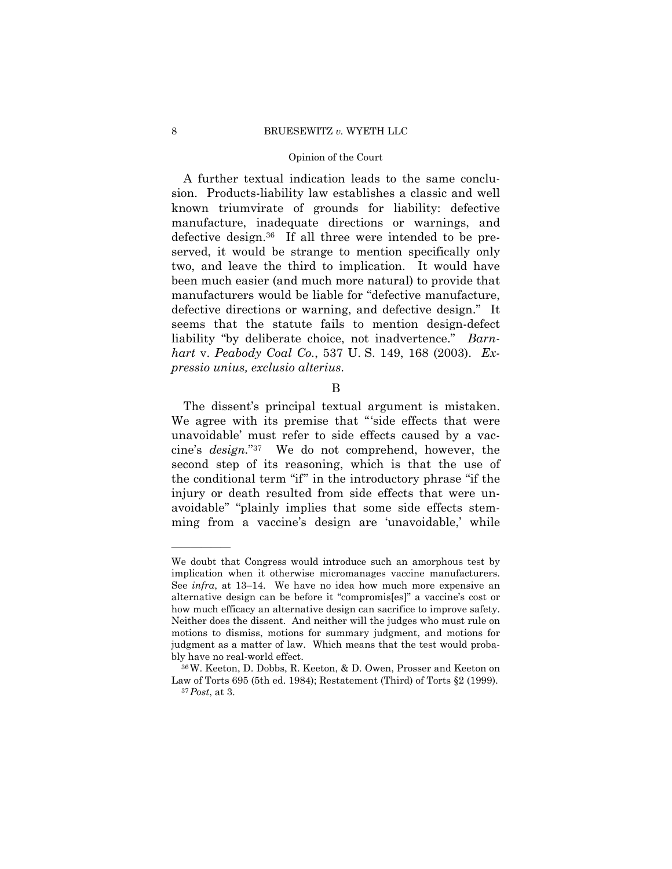#### 8 BRUESEWITZ *v.* WYETH LLC

### Opinion of the Court

 A further textual indication leads to the same conclusion. Products-liability law establishes a classic and well known triumvirate of grounds for liability: defective manufacture, inadequate directions or warnings, and defective design.36 If all three were intended to be preserved, it would be strange to mention specifically only two, and leave the third to implication. It would have been much easier (and much more natural) to provide that manufacturers would be liable for "defective manufacture, defective directions or warning, and defective design." It seems that the statute fails to mention design-defect liability "by deliberate choice, not inadvertence." *Barnhart* v. *Peabody Coal Co.*, 537 U. S. 149, 168 (2003). *Expressio unius, exclusio alterius*.

# B

 The dissent's principal textual argument is mistaken. We agree with its premise that "'side effects that were unavoidable' must refer to side effects caused by a vaccine's *design.*"37 We do not comprehend, however, the second step of its reasoning, which is that the use of the conditional term "if" in the introductory phrase "if the injury or death resulted from side effects that were unavoidable" "plainly implies that some side effects stemming from a vaccine's design are 'unavoidable,' while

We doubt that Congress would introduce such an amorphous test by implication when it otherwise micromanages vaccine manufacturers. See *infra*, at 13–14. We have no idea how much more expensive an alternative design can be before it "compromis[es]" a vaccine's cost or how much efficacy an alternative design can sacrifice to improve safety. Neither does the dissent. And neither will the judges who must rule on motions to dismiss, motions for summary judgment, and motions for judgment as a matter of law. Which means that the test would probably have no real-world effect.<br><sup>36</sup>W. Keeton, D. Dobbs, R. Keeton, & D. Owen, Prosser and Keeton on

Law of Torts 695 (5th ed. 1984); Restatement (Third) of Torts §2 (1999). 37*Post*, at 3.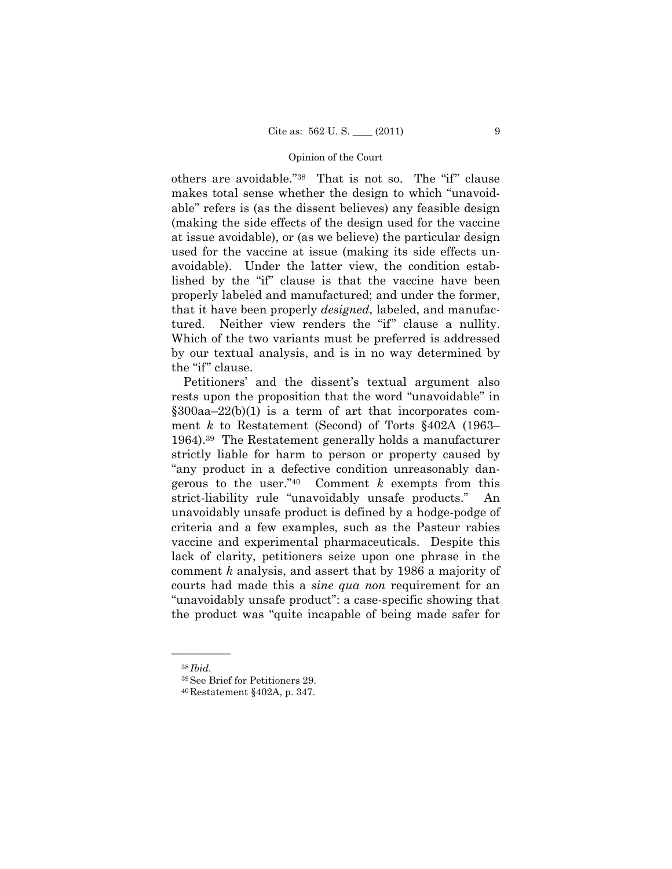others are avoidable."38 That is not so. The "if" clause makes total sense whether the design to which "unavoidable" refers is (as the dissent believes) any feasible design (making the side effects of the design used for the vaccine at issue avoidable), or (as we believe) the particular design used for the vaccine at issue (making its side effects unavoidable). Under the latter view, the condition established by the "if" clause is that the vaccine have been properly labeled and manufactured; and under the former, that it have been properly *designed*, labeled, and manufactured. Neither view renders the "if" clause a nullity. Which of the two variants must be preferred is addressed by our textual analysis, and is in no way determined by the "if" clause.

 Petitioners' and the dissent's textual argument also rests upon the proposition that the word "unavoidable" in  $§300aa-22(b)(1)$  is a term of art that incorporates comment *k* to Restatement (Second) of Torts §402A (1963– 1964).39 The Restatement generally holds a manufacturer strictly liable for harm to person or property caused by "any product in a defective condition unreasonably dangerous to the user."40 Comment *k* exempts from this strict-liability rule "unavoidably unsafe products." An unavoidably unsafe product is defined by a hodge-podge of criteria and a few examples, such as the Pasteur rabies vaccine and experimental pharmaceuticals. Despite this lack of clarity, petitioners seize upon one phrase in the comment *k* analysis, and assert that by 1986 a majority of courts had made this a *sine qua non* requirement for an "unavoidably unsafe product": a case-specific showing that the product was "quite incapable of being made safer for

<sup>38</sup> *Ibid.* 39See Brief for Petitioners 29.

<sup>40</sup>Restatement §402A, p. 347.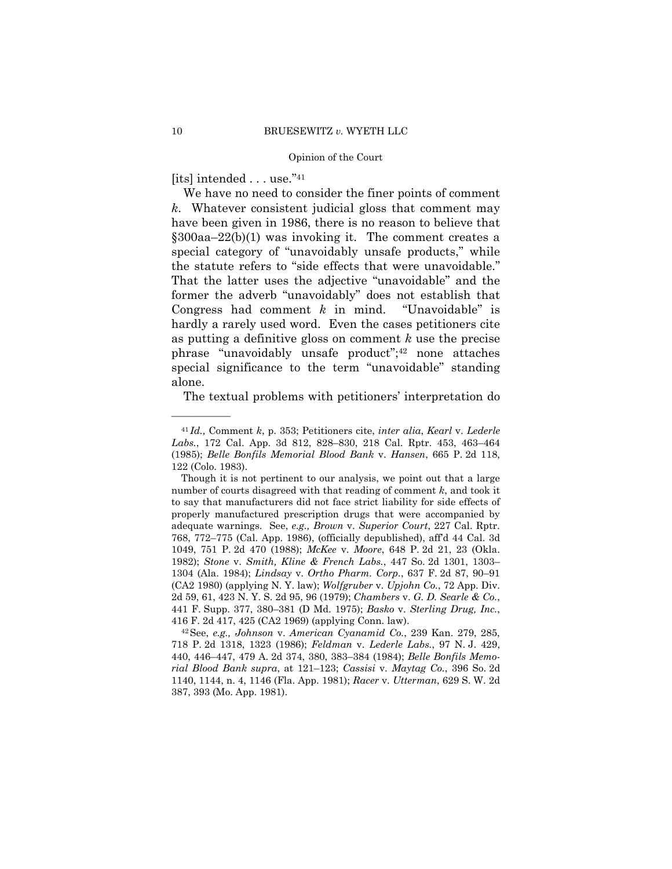[its] intended . . . use."41

——————

 We have no need to consider the finer points of comment *k*. Whatever consistent judicial gloss that comment may have been given in 1986, there is no reason to believe that  $§300aa-22(b)(1)$  was invoking it. The comment creates a special category of "unavoidably unsafe products," while the statute refers to "side effects that were unavoidable." That the latter uses the adjective "unavoidable" and the former the adverb "unavoidably" does not establish that Congress had comment *k* in mind. "Unavoidable" is hardly a rarely used word. Even the cases petitioners cite as putting a definitive gloss on comment *k* use the precise phrase "unavoidably unsafe product";<sup>42</sup> none attaches special significance to the term "unavoidable" standing alone.

The textual problems with petitioners' interpretation do

<sup>41</sup> *Id.,* Comment *k*, p. 353; Petitioners cite, *inter alia*, *Kearl* v. *Lederle Labs.*, 172 Cal. App. 3d 812, 828–830, 218 Cal. Rptr. 453, 463–464 (1985); *Belle Bonfils Memorial Blood Bank* v. *Hansen*, 665 P. 2d 118, 122 (Colo. 1983).

Though it is not pertinent to our analysis, we point out that a large number of courts disagreed with that reading of comment *k*, and took it to say that manufacturers did not face strict liability for side effects of properly manufactured prescription drugs that were accompanied by adequate warnings. See, *e.g., Brown* v. *Superior Court*, 227 Cal. Rptr. 768, 772–775 (Cal. App. 1986), (officially depublished), aff'd 44 Cal. 3d 1049, 751 P. 2d 470 (1988); *McKee* v. *Moore*, 648 P. 2d 21, 23 (Okla. 1982); *Stone* v. *Smith, Kline & French Labs.*, 447 So. 2d 1301, 1303– 1304 (Ala. 1984); *Lindsay* v. *Ortho Pharm. Corp.*, 637 F. 2d 87, 90–91 (CA2 1980) (applying N. Y. law); *Wolfgruber* v. *Upjohn Co.*, 72 App. Div. 2d 59, 61, 423 N. Y. S. 2d 95, 96 (1979); *Chambers* v. *G. D. Searle & Co.*, 441 F. Supp. 377, 380–381 (D Md. 1975); *Basko* v. *Sterling Drug, Inc.*, 416 F. 2d 417, 425 (CA2 1969) (applying Conn. law). 42See, *e.g., Johnson* v. *American Cyanamid Co.*, 239 Kan. 279, 285,

<sup>718</sup> P. 2d 1318, 1323 (1986); *Feldman* v. *Lederle Labs.*, 97 N. J. 429, 440, 446–447, 479 A. 2d 374, 380, 383–384 (1984); *Belle Bonfils Memorial Blood Bank supra*, at 121–123; *Cassisi* v. *Maytag Co.*, 396 So. 2d 1140, 1144, n. 4, 1146 (Fla. App. 1981); *Racer* v. *Utterman*, 629 S. W. 2d 387, 393 (Mo. App. 1981).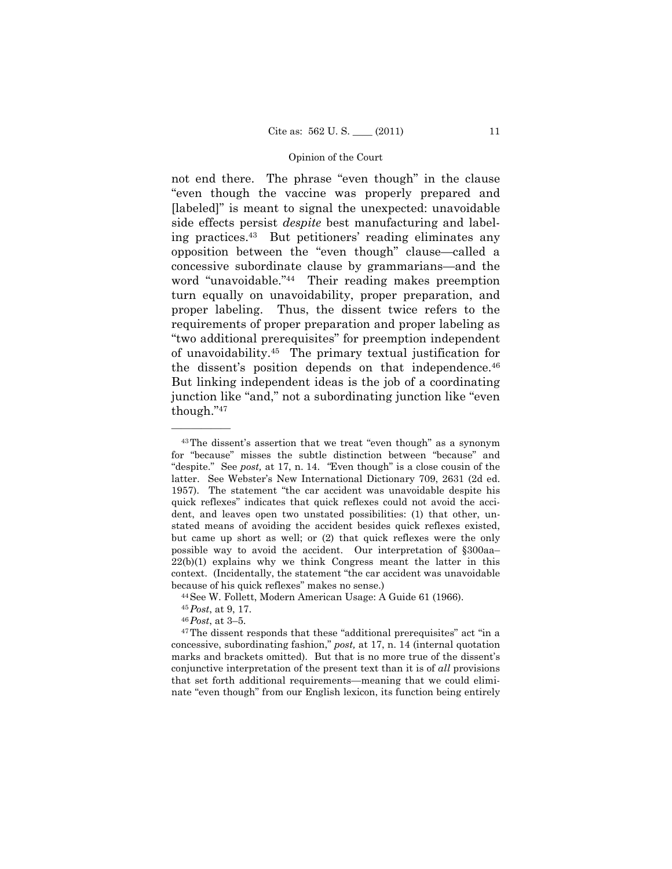not end there. The phrase "even though" in the clause "even though the vaccine was properly prepared and [labeled]" is meant to signal the unexpected: unavoidable side effects persist *despite* best manufacturing and labeling practices.43 But petitioners' reading eliminates any opposition between the "even though" clause—called a concessive subordinate clause by grammarians—and the word "unavoidable."44 Their reading makes preemption turn equally on unavoidability, proper preparation, and proper labeling. Thus, the dissent twice refers to the requirements of proper preparation and proper labeling as "two additional prerequisites" for preemption independent of unavoidability.45 The primary textual justification for the dissent's position depends on that independence.<sup>46</sup> But linking independent ideas is the job of a coordinating junction like "and," not a subordinating junction like "even though."47

<sup>43</sup>The dissent's assertion that we treat "even though" as a synonym for "because" misses the subtle distinction between "because" and "despite." See *post,* at 17, n. 14. *"*Even though" is a close cousin of the latter. See Webster's New International Dictionary 709, 2631 (2d ed. 1957). The statement "the car accident was unavoidable despite his quick reflexes" indicates that quick reflexes could not avoid the accident, and leaves open two unstated possibilities: (1) that other, unstated means of avoiding the accident besides quick reflexes existed, but came up short as well; or (2) that quick reflexes were the only possible way to avoid the accident. Our interpretation of §300aa–  $22(b)(1)$  explains why we think Congress meant the latter in this context. (Incidentally, the statement "the car accident was unavoidable because of his quick reflexes" makes no sense.)<br><sup>44</sup>See W. Follett, Modern American Usage: A Guide 61 (1966).<br><sup>45</sup>Post. at 9. 17.

<sup>&</sup>lt;sup>46</sup> *Post*, at 3–5. **45**<br><sup>47</sup> The dissent responds that these "additional prerequisites" act "in a concessive, subordinating fashion," *post,* at 17, n. 14 (internal quotation marks and brackets omitted). But that is no more true of the dissent's conjunctive interpretation of the present text than it is of *all* provisions that set forth additional requirements—meaning that we could eliminate "even though" from our English lexicon, its function being entirely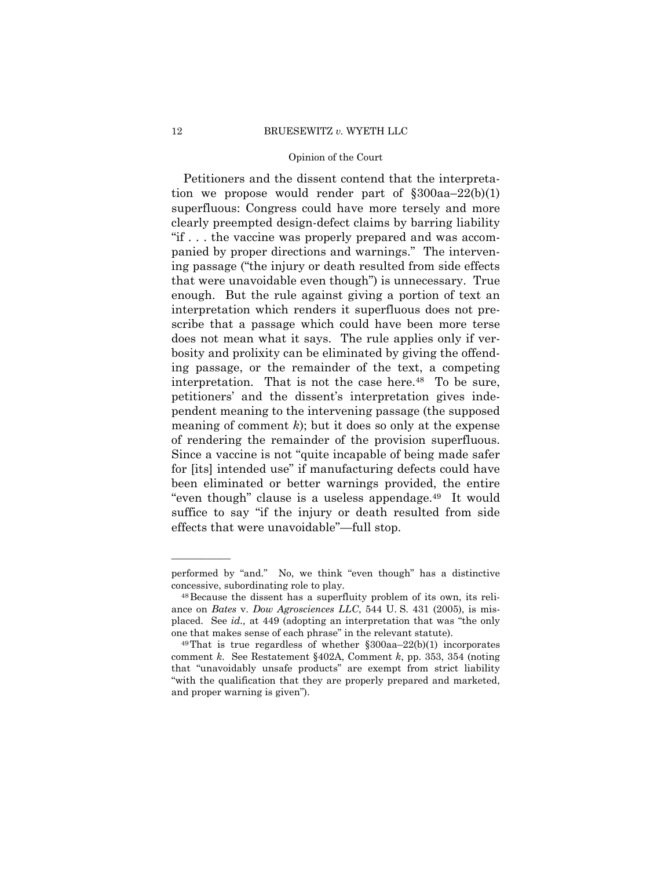Petitioners and the dissent contend that the interpretation we propose would render part of  $\S 300aa - 22(b)(1)$ superfluous: Congress could have more tersely and more clearly preempted design-defect claims by barring liability "if . . . the vaccine was properly prepared and was accompanied by proper directions and warnings." The intervening passage ("the injury or death resulted from side effects that were unavoidable even though") is unnecessary. True enough. But the rule against giving a portion of text an interpretation which renders it superfluous does not prescribe that a passage which could have been more terse does not mean what it says. The rule applies only if verbosity and prolixity can be eliminated by giving the offending passage, or the remainder of the text, a competing interpretation. That is not the case here.<sup>48</sup> To be sure, petitioners' and the dissent's interpretation gives independent meaning to the intervening passage (the supposed meaning of comment *k*); but it does so only at the expense of rendering the remainder of the provision superfluous. Since a vaccine is not "quite incapable of being made safer for [its] intended use" if manufacturing defects could have been eliminated or better warnings provided, the entire "even though" clause is a useless appendage.<sup>49</sup> It would suffice to say "if the injury or death resulted from side effects that were unavoidable"—full stop.

performed by "and." No, we think "even though" has a distinctive concessive, subordinating role to play. 48Because the dissent has a superfluity problem of its own, its reli-

ance on *Bates* v. *Dow Agrosciences LLC*, 544 U. S. 431 (2005), is misplaced. See *id.,* at 449 (adopting an interpretation that was "the only one that makes sense of each phrase" in the relevant statute).<br><sup>49</sup>That is true regardless of whether  $\S 300$ aa–22(b)(1) incorporates

comment *k*. See Restatement §402A, Comment *k*, pp. 353, 354 (noting that "unavoidably unsafe products" are exempt from strict liability "with the qualification that they are properly prepared and marketed, and proper warning is given").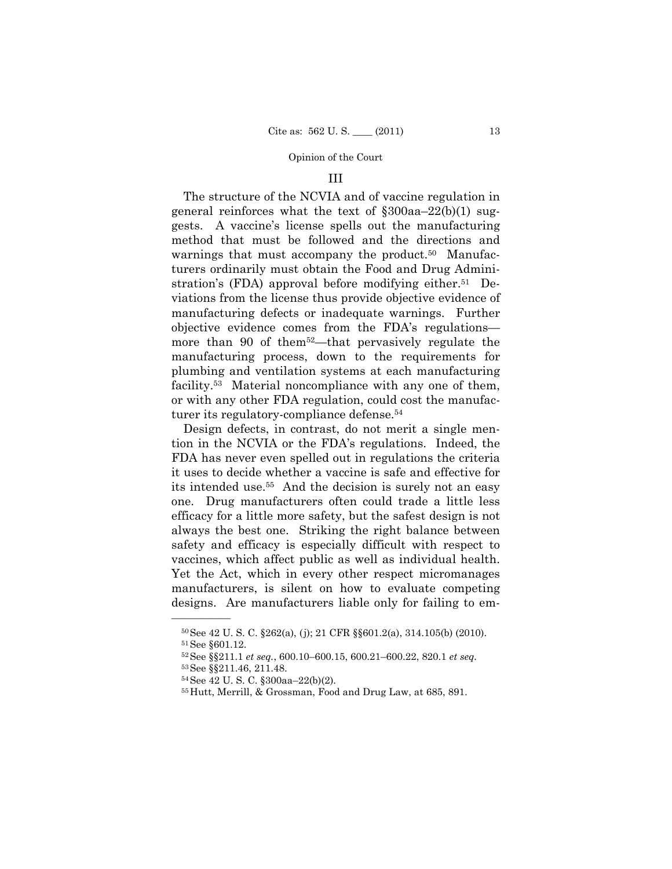### III

 The structure of the NCVIA and of vaccine regulation in general reinforces what the text of  $\S 300$ aa–22(b)(1) suggests. A vaccine's license spells out the manufacturing method that must be followed and the directions and warnings that must accompany the product.<sup>50</sup> Manufacturers ordinarily must obtain the Food and Drug Administration's (FDA) approval before modifying either.<sup>51</sup> Deviations from the license thus provide objective evidence of manufacturing defects or inadequate warnings. Further objective evidence comes from the FDA's regulations more than 90 of them<sup>52</sup>—that pervasively regulate the manufacturing process, down to the requirements for plumbing and ventilation systems at each manufacturing facility.53 Material noncompliance with any one of them, or with any other FDA regulation, could cost the manufacturer its regulatory-compliance defense.54

 Design defects, in contrast, do not merit a single mention in the NCVIA or the FDA's regulations. Indeed, the FDA has never even spelled out in regulations the criteria it uses to decide whether a vaccine is safe and effective for its intended use.55 And the decision is surely not an easy one. Drug manufacturers often could trade a little less efficacy for a little more safety, but the safest design is not always the best one. Striking the right balance between safety and efficacy is especially difficult with respect to vaccines, which affect public as well as individual health. Yet the Act, which in every other respect micromanages manufacturers, is silent on how to evaluate competing designs. Are manufacturers liable only for failing to em-

 $^{50}$ See 42 U. S. C. §262(a), (j); 21 CFR §§601.2(a), 314.105(b) (2010).<br> $^{51}$ See §601.12.

<sup>52</sup>See §§211.1 *et seq.*, 600.10–600.15, 600.21–600.22, 820.1 *et seq.*

<sup>53</sup>See §§211.46, 211.48.

<sup>54</sup>See 42 U. S. C. §300aa–22(b)(2).

<sup>55</sup>Hutt, Merrill, & Grossman, Food and Drug Law, at 685, 891.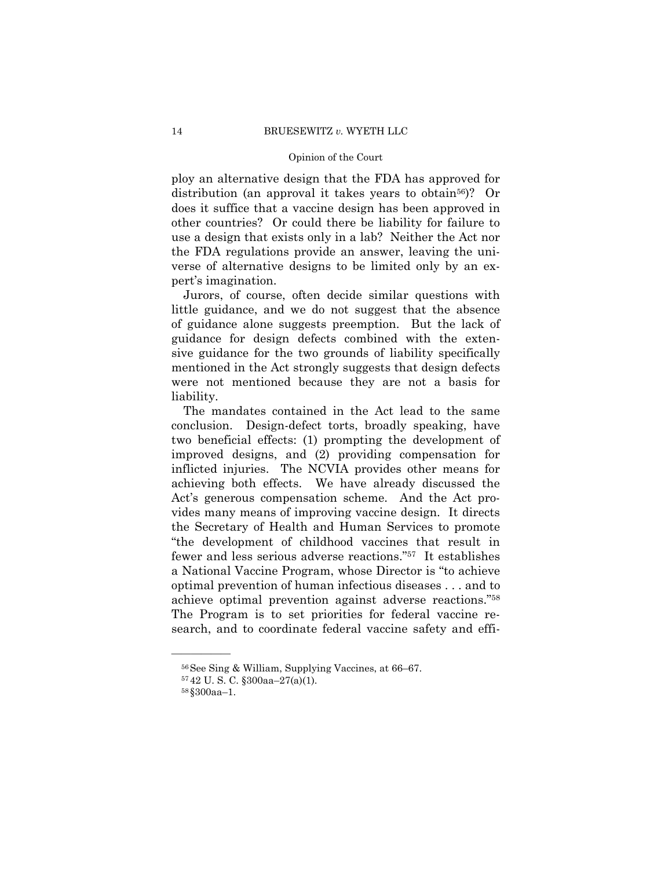ploy an alternative design that the FDA has approved for distribution (an approval it takes years to obtain<sup>56</sup>)? Or does it suffice that a vaccine design has been approved in other countries? Or could there be liability for failure to use a design that exists only in a lab? Neither the Act nor the FDA regulations provide an answer, leaving the universe of alternative designs to be limited only by an expert's imagination.

 Jurors, of course, often decide similar questions with little guidance, and we do not suggest that the absence of guidance alone suggests preemption. But the lack of guidance for design defects combined with the extensive guidance for the two grounds of liability specifically mentioned in the Act strongly suggests that design defects were not mentioned because they are not a basis for liability.

 The mandates contained in the Act lead to the same conclusion. Design-defect torts, broadly speaking, have two beneficial effects: (1) prompting the development of improved designs, and (2) providing compensation for inflicted injuries. The NCVIA provides other means for achieving both effects. We have already discussed the Act's generous compensation scheme. And the Act provides many means of improving vaccine design. It directs the Secretary of Health and Human Services to promote "the development of childhood vaccines that result in fewer and less serious adverse reactions."57 It establishes a National Vaccine Program, whose Director is "to achieve optimal prevention of human infectious diseases . . . and to achieve optimal prevention against adverse reactions."58 The Program is to set priorities for federal vaccine research, and to coordinate federal vaccine safety and effi-

<sup>56</sup>See Sing & William, Supplying Vaccines, at 66–67.

<sup>57</sup> 42 U. S. C. §300aa–27(a)(1).

<sup>58</sup> §300aa–1.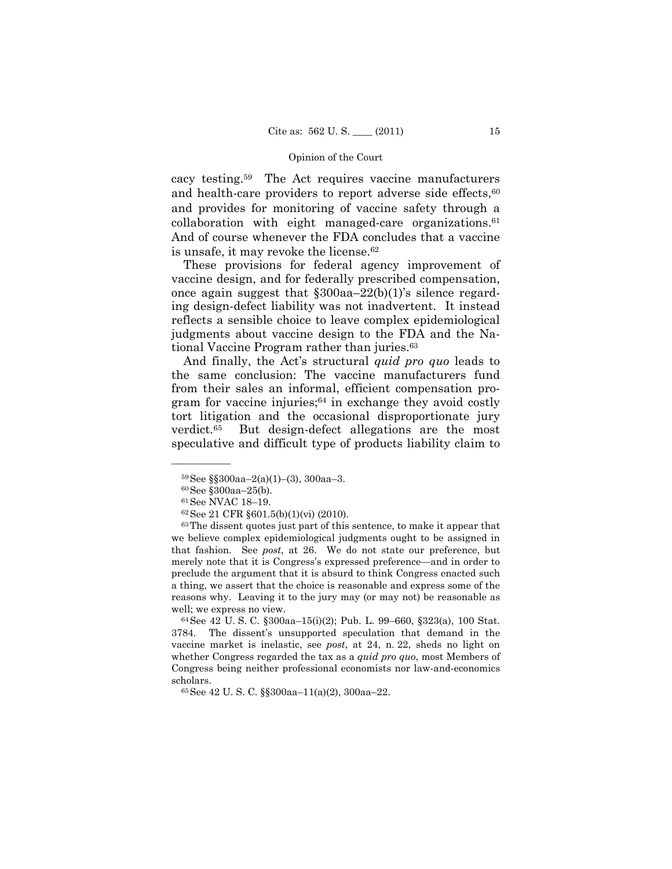cacy testing.59 The Act requires vaccine manufacturers and health-care providers to report adverse side effects, $60$ and provides for monitoring of vaccine safety through a collaboration with eight managed-care organizations.61 And of course whenever the FDA concludes that a vaccine is unsafe, it may revoke the license.<sup>62</sup>

 These provisions for federal agency improvement of vaccine design, and for federally prescribed compensation, once again suggest that §300aa–22(b)(1)'s silence regarding design-defect liability was not inadvertent. It instead reflects a sensible choice to leave complex epidemiological judgments about vaccine design to the FDA and the National Vaccine Program rather than juries.63

 And finally, the Act's structural *quid pro quo* leads to the same conclusion: The vaccine manufacturers fund from their sales an informal, efficient compensation program for vaccine injuries; $64$  in exchange they avoid costly tort litigation and the occasional disproportionate jury verdict.65 But design-defect allegations are the most speculative and difficult type of products liability claim to

 $59$ See §§300aa–2(a)(1)–(3), 300aa–3.

<sup>60</sup>See §300aa–25(b).

<sup>61</sup>See NVAC 18–19.

<sup>62</sup>See 21 CFR §601.5(b)(1)(vi) (2010).

<sup>63</sup>The dissent quotes just part of this sentence, to make it appear that we believe complex epidemiological judgments ought to be assigned in that fashion. See *post*, at 26. We do not state our preference, but merely note that it is Congress's expressed preference—and in order to preclude the argument that it is absurd to think Congress enacted such a thing, we assert that the choice is reasonable and express some of the reasons why. Leaving it to the jury may (or may not) be reasonable as well; we express no view.<br><sup>64</sup>See 42 U. S. C. §300aa–15(i)(2); Pub. L. 99–660, §323(a), 100 Stat.

<sup>3784.</sup> The dissent's unsupported speculation that demand in the vaccine market is inelastic, see *post*, at 24, n. 22, sheds no light on whether Congress regarded the tax as a *quid pro quo*, most Members of Congress being neither professional economists nor law-and-economics scholars. 65See 42 U. S. C. §§300aa–11(a)(2), 300aa–22.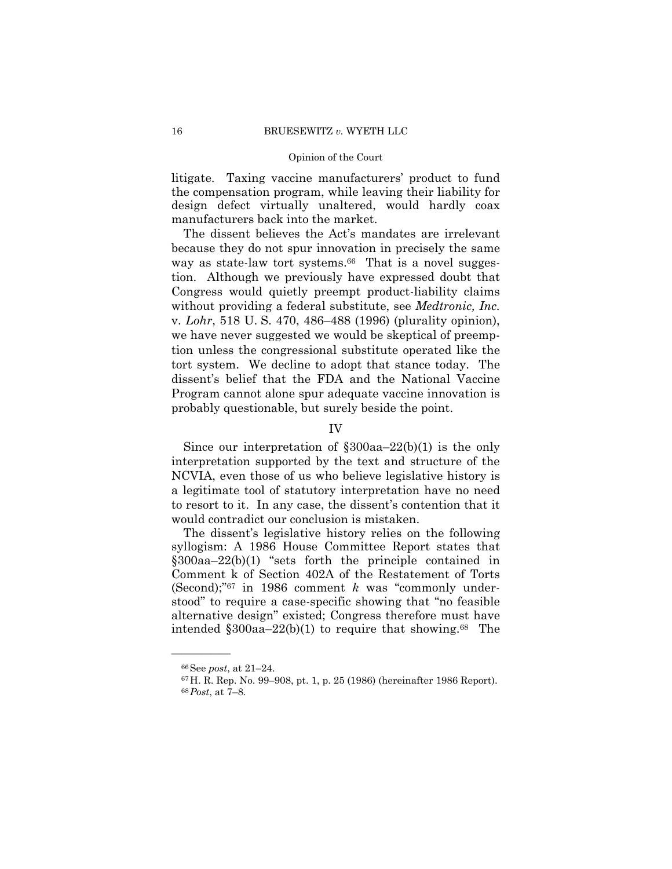litigate. Taxing vaccine manufacturers' product to fund the compensation program, while leaving their liability for design defect virtually unaltered, would hardly coax manufacturers back into the market.

 The dissent believes the Act's mandates are irrelevant because they do not spur innovation in precisely the same way as state-law tort systems.<sup>66</sup> That is a novel suggestion. Although we previously have expressed doubt that Congress would quietly preempt product-liability claims without providing a federal substitute, see *Medtronic, Inc.* v. *Lohr*, 518 U. S. 470, 486–488 (1996) (plurality opinion), we have never suggested we would be skeptical of preemption unless the congressional substitute operated like the tort system. We decline to adopt that stance today. The dissent's belief that the FDA and the National Vaccine Program cannot alone spur adequate vaccine innovation is probably questionable, but surely beside the point.

IV

 Since our interpretation of §300aa–22(b)(1) is the only interpretation supported by the text and structure of the NCVIA, even those of us who believe legislative history is a legitimate tool of statutory interpretation have no need to resort to it. In any case, the dissent's contention that it would contradict our conclusion is mistaken.

 The dissent's legislative history relies on the following syllogism: A 1986 House Committee Report states that §300aa–22(b)(1) "sets forth the principle contained in Comment k of Section 402A of the Restatement of Torts (Second);"67 in 1986 comment *k* was "commonly understood" to require a case-specific showing that "no feasible alternative design" existed; Congress therefore must have intended  $\S 300$ aa–22(b)(1) to require that showing.<sup>68</sup> The

<sup>66</sup>See *post*, at 21–24. 67H. R. Rep. No. 99–908, pt. 1, p. 25 (1986) (hereinafter 1986 Report). 68*Post*, at 7–8.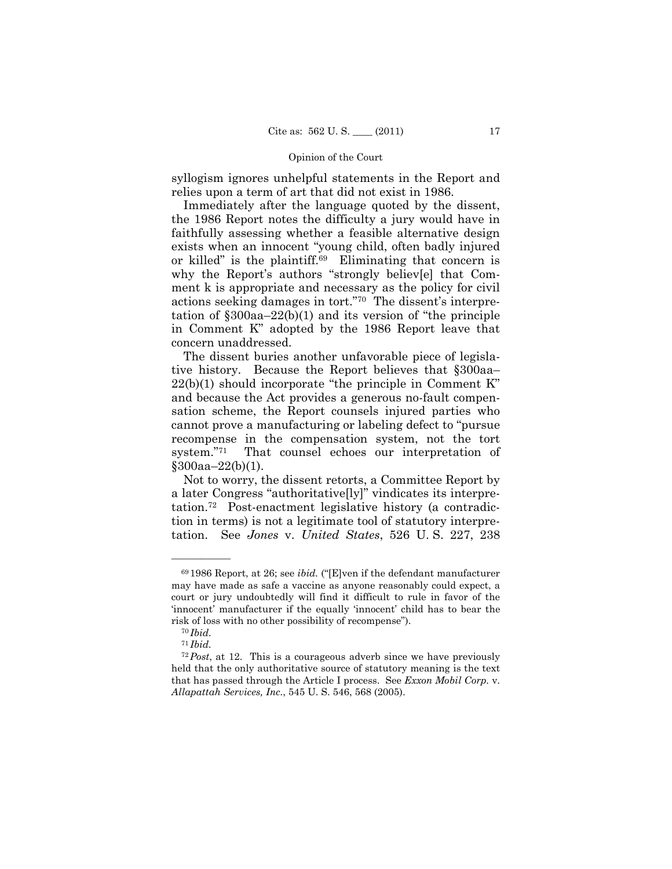syllogism ignores unhelpful statements in the Report and relies upon a term of art that did not exist in 1986.

 Immediately after the language quoted by the dissent, the 1986 Report notes the difficulty a jury would have in faithfully assessing whether a feasible alternative design exists when an innocent "young child, often badly injured or killed" is the plaintiff.69 Eliminating that concern is why the Report's authors "strongly believ[e] that Comment k is appropriate and necessary as the policy for civil actions seeking damages in tort."70 The dissent's interpretation of §300aa–22(b)(1) and its version of "the principle in Comment K" adopted by the 1986 Report leave that concern unaddressed.

 The dissent buries another unfavorable piece of legislative history. Because the Report believes that §300aa–  $22(b)(1)$  should incorporate "the principle in Comment K" and because the Act provides a generous no-fault compensation scheme, the Report counsels injured parties who cannot prove a manufacturing or labeling defect to "pursue recompense in the compensation system, not the tort system."71 That counsel echoes our interpretation of §300aa–22(b)(1).

 Not to worry, the dissent retorts, a Committee Report by a later Congress "authoritative[ly]" vindicates its interpretation.72 Post-enactment legislative history (a contradiction in terms) is not a legitimate tool of statutory interpretation. See *Jones* v. *United States*, 526 U. S. 227, 238

<sup>69</sup> 1986 Report, at 26; see *ibid.* ("[E]ven if the defendant manufacturer may have made as safe a vaccine as anyone reasonably could expect, a court or jury undoubtedly will find it difficult to rule in favor of the 'innocent' manufacturer if the equally 'innocent' child has to bear the risk of loss with no other possibility of recompense"). 70 *Ibid.*

<sup>71</sup> *Ibid.*

<sup>72</sup>*Post*, at 12. This is a courageous adverb since we have previously held that the only authoritative source of statutory meaning is the text that has passed through the Article I process. See *Exxon Mobil Corp.* v. *Allapattah Services, Inc.*, 545 U. S. 546, 568 (2005).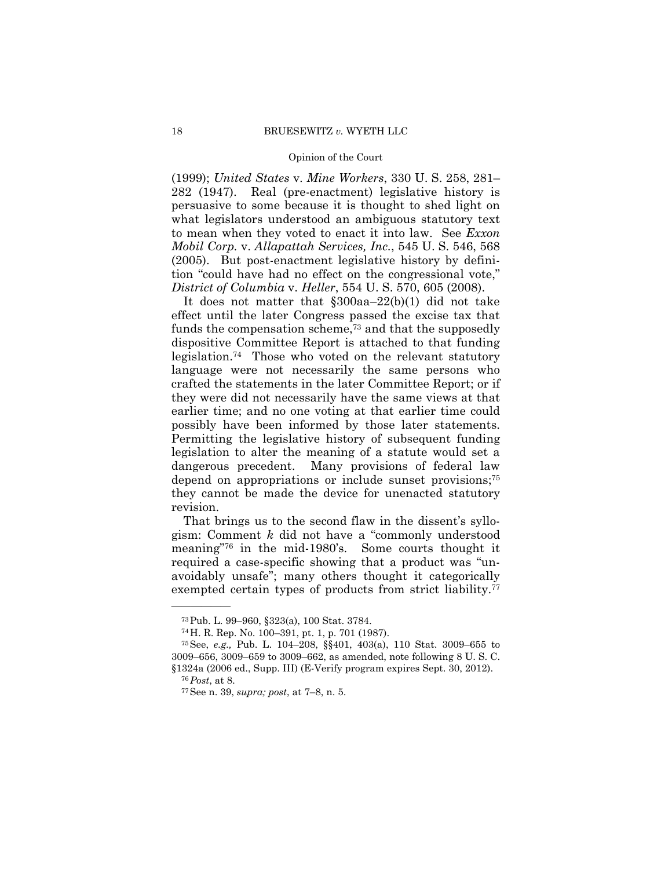(1999); *United States* v. *Mine Workers*, 330 U. S. 258, 281– 282 (1947). Real (pre-enactment) legislative history is persuasive to some because it is thought to shed light on what legislators understood an ambiguous statutory text to mean when they voted to enact it into law. See *Exxon Mobil Corp.* v. *Allapattah Services, Inc.*, 545 U. S. 546, 568 (2005). But post-enactment legislative history by definition "could have had no effect on the congressional vote," *District of Columbia* v. *Heller*, 554 U. S. 570, 605 (2008).

 It does not matter that §300aa–22(b)(1) did not take effect until the later Congress passed the excise tax that funds the compensation scheme,73 and that the supposedly dispositive Committee Report is attached to that funding legislation.74 Those who voted on the relevant statutory language were not necessarily the same persons who crafted the statements in the later Committee Report; or if they were did not necessarily have the same views at that earlier time; and no one voting at that earlier time could possibly have been informed by those later statements. Permitting the legislative history of subsequent funding legislation to alter the meaning of a statute would set a dangerous precedent. Many provisions of federal law depend on appropriations or include sunset provisions;<sup>75</sup> they cannot be made the device for unenacted statutory revision.

 That brings us to the second flaw in the dissent's syllogism: Comment *k* did not have a "commonly understood meaning"76 in the mid-1980's. Some courts thought it required a case-specific showing that a product was "unavoidably unsafe"; many others thought it categorically exempted certain types of products from strict liability.<sup>77</sup>

<sup>73</sup>Pub. L. 99–960, §323(a), 100 Stat. 3784.

<sup>74</sup>H. R. Rep. No. 100–391, pt. 1, p. 701 (1987).

<sup>75</sup>See, *e.g.,* Pub. L. 104–208, §§401, 403(a), 110 Stat. 3009–655 to 3009–656, 3009–659 to 3009–662, as amended, note following 8 U. S. C. §1324a (2006 ed., Supp. III) (E-Verify program expires Sept. 30, 2012). 76*Post*, at 8. 77See n. 39, *supra; post*, at 7–8, n. 5.